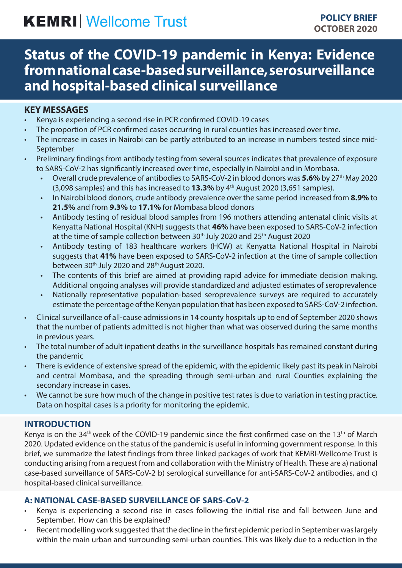# **KEMRI** Wellcome Trust

# **Status of the COVID-19 pandemic in Kenya: Evidence from national case-based surveillance, serosurveillance and hospital-based clinical surveillance**

## **KEY MESSAGES**

- Kenya is experiencing a second rise in PCR confirmed COVID-19 cases
- The proportion of PCR confirmed cases occurring in rural counties has increased over time.
- The increase in cases in Nairobi can be partly attributed to an increase in numbers tested since mid-September
- Preliminary findings from antibody testing from several sources indicates that prevalence of exposure to SARS-CoV-2 has significantly increased over time, especially in Nairobi and in Mombasa.
	- Overall crude prevalence of antibodies to SARS-CoV-2 in blood donors was **5.6%** by 27th May 2020 (3,098 samples) and this has increased to **13.3%** by 4th August 2020 (3,651 samples).
	- In Nairobi blood donors, crude antibody prevalence over the same period increased from **8.9%** to **21.5%** and from **9.3%** to **17.1%** for Mombasa blood donors
	- Antibody testing of residual blood samples from 196 mothers attending antenatal clinic visits at Kenyatta National Hospital (KNH) suggests that **46%** have been exposed to SARS-CoV-2 infection at the time of sample collection between 30<sup>th</sup> July 2020 and 25<sup>th</sup> August 2020
	- Antibody testing of 183 healthcare workers (HCW) at Kenyatta National Hospital in Nairobi suggests that **41%** have been exposed to SARS-CoV-2 infection at the time of sample collection between 30<sup>th</sup> July 2020 and 28<sup>th</sup> August 2020.
	- The contents of this brief are aimed at providing rapid advice for immediate decision making. Additional ongoing analyses will provide standardized and adjusted estimates of seroprevalence
	- Nationally representative population-based seroprevalence surveys are required to accurately estimate the percentage of the Kenyan population that has been exposed to SARS-CoV-2 infection.
- Clinical surveillance of all-cause admissions in 14 county hospitals up to end of September 2020 shows that the number of patients admitted is not higher than what was observed during the same months in previous years.
- The total number of adult inpatient deaths in the surveillance hospitals has remained constant during the pandemic
- There is evidence of extensive spread of the epidemic, with the epidemic likely past its peak in Nairobi and central Mombasa, and the spreading through semi-urban and rural Counties explaining the secondary increase in cases.
- We cannot be sure how much of the change in positive test rates is due to variation in testing practice. Data on hospital cases is a priority for monitoring the epidemic.

# **INTRODUCTION**

Kenya is on the 34<sup>th</sup> week of the COVID-19 pandemic since the first confirmed case on the 13<sup>th</sup> of March 2020. Updated evidence on the status of the pandemic is useful in informing government response. In this brief, we summarize the latest findings from three linked packages of work that KEMRI-Wellcome Trust is conducting arising from a request from and collaboration with the Ministry of Health. These are a) national case-based surveillance of SARS-CoV-2 b) serological surveillance for anti-SARS-CoV-2 antibodies, and c) hospital-based clinical surveillance.

#### **A: NATIONAL CASE-BASED SURVEILLANCE OF SARS-CoV-2**

- Kenya is experiencing a second rise in cases following the initial rise and fall between June and September. How can this be explained?
- Recent modelling work suggested that the decline in the first epidemic period in September was largely within the main urban and surrounding semi-urban counties. This was likely due to a reduction in the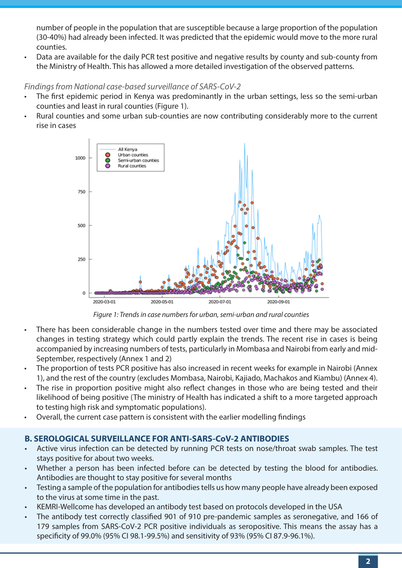number of people in the population that are susceptible because a large proportion of the population (30-40%) had already been infected. It was predicted that the epidemic would move to the more rural counties.

• Data are available for the daily PCR test positive and negative results by county and sub-county from the Ministry of Health. This has allowed a more detailed investigation of the observed patterns.

#### *Findings from National case-based surveillance of SARS-CoV-2*

- The first epidemic period in Kenya was predominantly in the urban settings, less so the semi-urban counties and least in rural counties (Figure 1).
- Rural counties and some urban sub-counties are now contributing considerably more to the current rise in cases



*Figure 1: Trends in case numbers for urban, semi-urban and rural counties*

- There has been considerable change in the numbers tested over time and there may be associated changes in testing strategy which could partly explain the trends. The recent rise in cases is being accompanied by increasing numbers of tests, particularly in Mombasa and Nairobi from early and mid-September, respectively (Annex 1 and 2)
- The proportion of tests PCR positive has also increased in recent weeks for example in Nairobi (Annex 1), and the rest of the country (excludes Mombasa, Nairobi, Kajiado, Machakos and Kiambu) (Annex 4).
- The rise in proportion positive might also reflect changes in those who are being tested and their likelihood of being positive (The ministry of Health has indicated a shift to a more targeted approach to testing high risk and symptomatic populations).
- Overall, the current case pattern is consistent with the earlier modelling findings

# **B. SEROLOGICAL SURVEILLANCE FOR ANTI-SARS-CoV-2 ANTIBODIES**

- Active virus infection can be detected by running PCR tests on nose/throat swab samples. The test stays positive for about two weeks.
- Whether a person has been infected before can be detected by testing the blood for antibodies. Antibodies are thought to stay positive for several months
- Testing a sample of the population for antibodies tells us how many people have already been exposed to the virus at some time in the past.
- KEMRI-Wellcome has developed an antibody test based on protocols developed in the USA
- The antibody test correctly classified 901 of 910 pre-pandemic samples as seronegative, and 166 of 179 samples from SARS-CoV-2 PCR positive individuals as seropositive. This means the assay has a specificity of 99.0% (95% CI 98.1-99.5%) and sensitivity of 93% (95% CI 87.9-96.1%).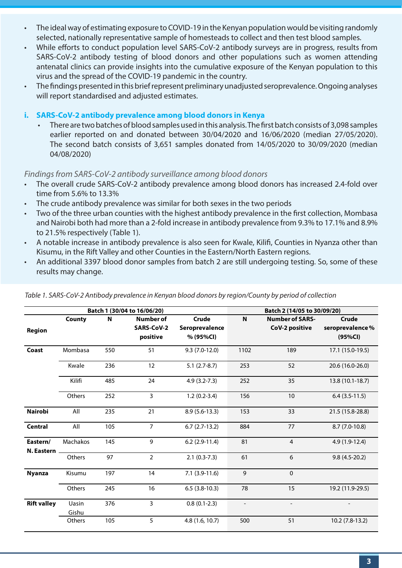- The ideal way of estimating exposure to COVID-19 in the Kenyan population would be visiting randomly selected, nationally representative sample of homesteads to collect and then test blood samples.
- While efforts to conduct population level SARS-CoV-2 antibody surveys are in progress, results from SARS-CoV-2 antibody testing of blood donors and other populations such as women attending antenatal clinics can provide insights into the cumulative exposure of the Kenyan population to this virus and the spread of the COVID-19 pandemic in the country.
- The findings presented in this brief represent preliminary unadjusted seroprevalence. Ongoing analyses will report standardised and adjusted estimates.
- **i. SARS-CoV-2 antibody prevalence among blood donors in Kenya**
	- There are two batches of blood samples used in this analysis. The first batch consists of 3,098 samples earlier reported on and donated between 30/04/2020 and 16/06/2020 (median 27/05/2020). The second batch consists of 3,651 samples donated from 14/05/2020 to 30/09/2020 (median 04/08/2020)

#### *Findings from SARS-CoV-2 antibody surveillance among blood donors*

- The overall crude SARS-CoV-2 antibody prevalence among blood donors has increased 2.4-fold over time from 5.6% to 13.3%
- The crude antibody prevalence was similar for both sexes in the two periods
- Two of the three urban counties with the highest antibody prevalence in the first collection, Mombasa and Nairobi both had more than a 2-fold increase in antibody prevalence from 9.3% to 17.1% and 8.9% to 21.5% respectively (Table 1).
- A notable increase in antibody prevalence is also seen for Kwale, Kilifi, Counties in Nyanza other than Kisumu, in the Rift Valley and other Counties in the Eastern/North Eastern regions.
- An additional 3397 blood donor samples from batch 2 are still undergoing testing. So, some of these results may change.

|                        | Batch 1 (30/04 to 16/06/20) |     |                                            |                                      | Batch 2 (14/05 to 30/09/20) |                                          |                                            |
|------------------------|-----------------------------|-----|--------------------------------------------|--------------------------------------|-----------------------------|------------------------------------------|--------------------------------------------|
| Region                 | County                      | N   | Number of<br><b>SARS-CoV-2</b><br>positive | Crude<br>Seroprevalence<br>% (95%CI) | N                           | <b>Number of SARS-</b><br>CoV-2 positive | <b>Crude</b><br>seroprevalence%<br>(95%CI) |
| Coast                  | Mombasa                     | 550 | 51                                         | $9.3(7.0-12.0)$                      | 1102                        | 189                                      | 17.1 (15.0-19.5)                           |
|                        | Kwale                       | 236 | 12                                         | $5.1(2.7-8.7)$                       | 253                         | 52                                       | 20.6 (16.0-26.0)                           |
|                        | Kilifi                      | 485 | 24                                         | $4.9(3.2 - 7.3)$                     | 252                         | 35                                       | 13.8 (10.1-18.7)                           |
|                        | Others                      | 252 | 3                                          | $1.2(0.2-3.4)$                       | 156                         | 10                                       | $6.4(3.5-11.5)$                            |
| <b>Nairobi</b>         | All                         | 235 | 21                                         | $8.9(5.6-13.3)$                      | 153                         | 33                                       | 21.5 (15.8-28.8)                           |
| <b>Central</b>         | All                         | 105 | $\overline{7}$                             | $6.7(2.7-13.2)$                      | 884                         | 77                                       | $8.7(7.0-10.8)$                            |
| Eastern/<br>N. Eastern | Machakos                    | 145 | 9                                          | $6.2$ (2.9-11.4)                     | 81                          | $\overline{4}$                           | 4.9 (1.9-12.4)                             |
|                        | Others                      | 97  | $\overline{2}$                             | $2.1(0.3-7.3)$                       | 61                          | 6                                        | $9.8(4.5-20.2)$                            |
| <b>Nyanza</b>          | Kisumu                      | 197 | 14                                         | $7.1(3.9-11.6)$                      | 9                           | $\mathbf{0}$                             |                                            |
|                        | Others                      | 245 | 16                                         | $6.5(3.8-10.3)$                      | 78                          | 15                                       | 19.2 (11.9-29.5)                           |
| <b>Rift valley</b>     | Uasin<br>Gishu              | 376 | $\overline{3}$                             | $0.8(0.1-2.3)$                       | $\overline{\phantom{a}}$    | $\overline{\phantom{a}}$                 |                                            |
|                        | Others                      | 105 | 5                                          | 4.8(1.6, 10.7)                       | 500                         | 51                                       | $10.2(7.8-13.2)$                           |

*Table 1. SARS-CoV-2 Antibody prevalence in Kenyan blood donors by region/County by period of collection*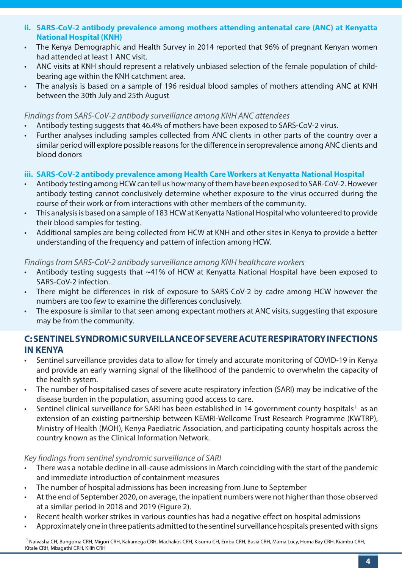- **ii. SARS-CoV-2 antibody prevalence among mothers attending antenatal care (ANC) at Kenyatta National Hospital (KNH)**
- The Kenya Demographic and Health Survey in 2014 reported that 96% of pregnant Kenyan women had attended at least 1 ANC visit.
- ANC visits at KNH should represent a relatively unbiased selection of the female population of childbearing age within the KNH catchment area.
- The analysis is based on a sample of 196 residual blood samples of mothers attending ANC at KNH between the 30th July and 25th August

#### *Findings from SARS-CoV-2 antibody surveillance among KNH ANC attendees*

- Antibody testing suggests that 46.4% of mothers have been exposed to SARS-CoV-2 virus.
- Further analyses including samples collected from ANC clients in other parts of the country over a similar period will explore possible reasons for the difference in seroprevalence among ANC clients and blood donors

#### **iii. SARS-CoV-2 antibody prevalence among Health Care Workers at Kenyatta National Hospital**

- Antibody testing among HCW can tell us how many of them have been exposed to SAR-CoV-2. However antibody testing cannot conclusively determine whether exposure to the virus occurred during the course of their work or from interactions with other members of the community.
- This analysis is based on a sample of 183 HCW at Kenyatta National Hospital who volunteered to provide their blood samples for testing.
- Additional samples are being collected from HCW at KNH and other sites in Kenya to provide a better understanding of the frequency and pattern of infection among HCW.

#### *Findings from SARS-CoV-2 antibody surveillance among KNH healthcare workers*

- Antibody testing suggests that ~41% of HCW at Kenyatta National Hospital have been exposed to SARS-CoV-2 infection.
- There might be differences in risk of exposure to SARS-CoV-2 by cadre among HCW however the numbers are too few to examine the differences conclusively.
- The exposure is similar to that seen among expectant mothers at ANC visits, suggesting that exposure may be from the community.

# **C: SENTINEL SYNDROMIC SURVEILLANCE OF SEVERE ACUTE RESPIRATORY INFECTIONS IN KENYA**

- Sentinel surveillance provides data to allow for timely and accurate monitoring of COVID-19 in Kenya and provide an early warning signal of the likelihood of the pandemic to overwhelm the capacity of the health system.
- The number of hospitalised cases of severe acute respiratory infection (SARI) may be indicative of the disease burden in the population, assuming good access to care.
- Sentinel clinical surveillance for SARI has been established in 14 government county hospitals<sup>1</sup> as an extension of an existing partnership between KEMRI-Wellcome Trust Research Programme (KWTRP), Ministry of Health (MOH), Kenya Paediatric Association, and participating county hospitals across the country known as the Clinical Information Network.

#### *Key findings from sentinel syndromic surveillance of SARI*

- There was a notable decline in all-cause admissions in March coinciding with the start of the pandemic and immediate introduction of containment measures
- The number of hospital admissions has been increasing from June to September
- At the end of September 2020, on average, the inpatient numbers were not higher than those observed at a similar period in 2018 and 2019 (Figure 2).
- Recent health worker strikes in various counties has had a negative effect on hospital admissions
- Approximately one in three patients admitted to the sentinel surveillance hospitals presented with signs

<sup>1</sup> Naivasha CH, Bungoma CRH, Migori CRH, Kakamega CRH, Machakos CRH, Kisumu CH, Embu CRH, Busia CRH, Mama Lucy, Homa Bay CRH, Kiambu CRH, Kitale CRH, Mbagathi CRH, Kilifi CRH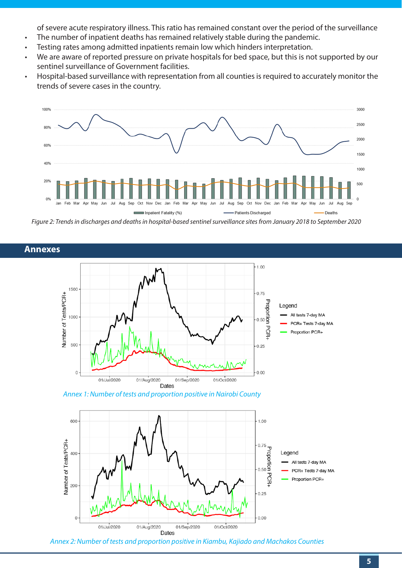of severe acute respiratory illness. This ratio has remained constant over the period of the surveillance

- The number of inpatient deaths has remained relatively stable during the pandemic.
- Testing rates among admitted inpatients remain low which hinders interpretation.
- We are aware of reported pressure on private hospitals for bed space, but this is not supported by our sentinel surveillance of Government facilities.
- Hospital-based surveillance with representation from all counties is required to accurately monitor the trends of severe cases in the country.



*Figure 2: Trends in discharges and deaths in hospital-based sentinel surveillance sites from January 2018 to September 2020*



*Annex 1: Number of tests and proportion positive in Nairobi County*



*Annex 2: Number of tests and proportion positive in Kiambu, Kajiado and Machakos Counties*

# **Annexes**